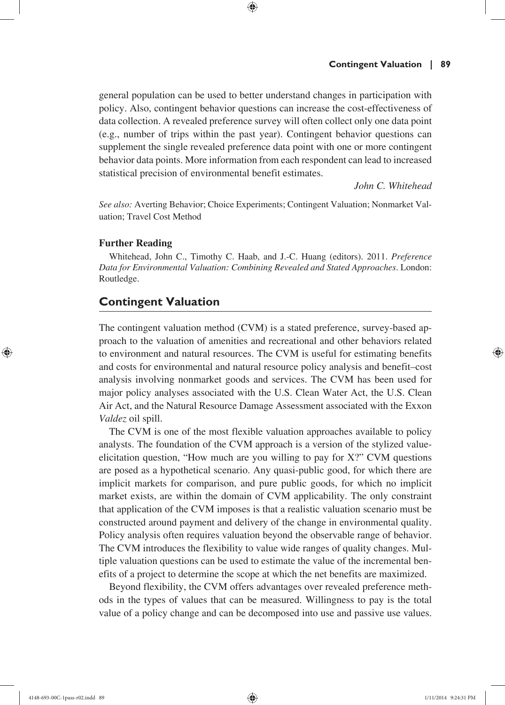## **Contingent Valuation | 89**

general population can be used to better understand changes in participation with policy. Also, contingent behavior questions can increase the cost-effectiveness of data collection. A revealed preference survey will often collect only one data point (e.g., number of trips within the past year). Contingent behavior questions can supplement the single revealed preference data point with one or more contingent behavior data points. More information from each respondent can lead to increased statistical precision of environmental benefit estimates.

⊕

 *John C. Whitehead* 

*See also:* Averting Behavior; Choice Experiments; Contingent Valuation; Nonmarket Valuation; Travel Cost Method

# **Further Reading**

 Whitehead, John C., Timothy C. Haab, and J.-C. Huang (editors). 2011. *Preference Data for Environmental Valuation: Combining Revealed and Stated Approaches* . London: Routledge.

# **Contingent Valuation**

 The contingent valuation method (CVM) is a stated preference, survey-based approach to the valuation of amenities and recreational and other behaviors related to environment and natural resources. The CVM is useful for estimating benefits and costs for environmental and natural resource policy analysis and benefit—cost analysis involving nonmarket goods and services. The CVM has been used for major policy analyses associated with the U.S. Clean Water Act, the U.S. Clean Air Act, and the Natural Resource Damage Assessment associated with the Exxon *Valdez* oil spill.

 The CVM is one of the most flexible valuation approaches available to policy analysts. The foundation of the CVM approach is a version of the stylized valueelicitation question, "How much are you willing to pay for  $X$ ?" CVM questions are posed as a hypothetical scenario. Any quasi-public good, for which there are implicit markets for comparison, and pure public goods, for which no implicit market exists, are within the domain of CVM applicability. The only constraint that application of the CVM imposes is that a realistic valuation scenario must be constructed around payment and delivery of the change in environmental quality. Policy analysis often requires valuation beyond the observable range of behavior. The CVM introduces the flexibility to value wide ranges of quality changes. Multiple valuation questions can be used to estimate the value of the incremental benefits of a project to determine the scope at which the net benefits are maximized.

 Beyond flexibility, the CVM offers advantages over revealed preference methods in the types of values that can be measured. Willingness to pay is the total value of a policy change and can be decomposed into use and passive use values.

♠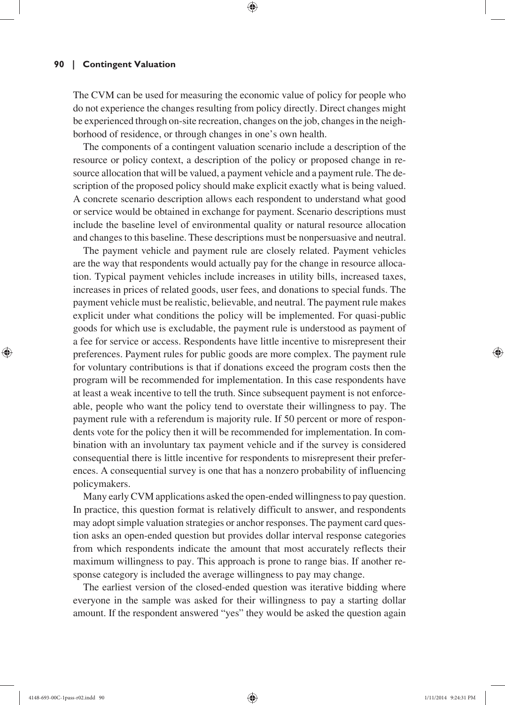## **90 | Contingent Valuation**

The CVM can be used for measuring the economic value of policy for people who do not experience the changes resulting from policy directly. Direct changes might be experienced through on-site recreation, changes on the job, changes in the neighborhood of residence, or through changes in one's own health.

⊕

 The components of a contingent valuation scenario include a description of the resource or policy context, a description of the policy or proposed change in resource allocation that will be valued, a payment vehicle and a payment rule. The description of the proposed policy should make explicit exactly what is being valued. A concrete scenario description allows each respondent to understand what good or service would be obtained in exchange for payment. Scenario descriptions must include the baseline level of environmental quality or natural resource allocation and changes to this baseline. These descriptions must be nonpersuasive and neutral.

 The payment vehicle and payment rule are closely related. Payment vehicles are the way that respondents would actually pay for the change in resource allocation. Typical payment vehicles include increases in utility bills, increased taxes, increases in prices of related goods, user fees, and donations to special funds. The payment vehicle must be realistic, believable, and neutral. The payment rule makes explicit under what conditions the policy will be implemented. For quasi-public goods for which use is excludable, the payment rule is understood as payment of a fee for service or access. Respondents have little incentive to misrepresent their preferences. Payment rules for public goods are more complex. The payment rule for voluntary contributions is that if donations exceed the program costs then the program will be recommended for implementation. In this case respondents have at least a weak incentive to tell the truth. Since subsequent payment is not enforceable, people who want the policy tend to overstate their willingness to pay. The payment rule with a referendum is majority rule. If 50 percent or more of respondents vote for the policy then it will be recommended for implementation. In combination with an involuntary tax payment vehicle and if the survey is considered consequential there is little incentive for respondents to misrepresent their preferences. A consequential survey is one that has a nonzero probability of influencing policymakers.

 Many early CVM applications asked the open-ended willingness to pay question. In practice, this question format is relatively difficult to answer, and respondents may adopt simple valuation strategies or anchor responses. The payment card question asks an open-ended question but provides dollar interval response categories from which respondents indicate the amount that most accurately reflects their maximum willingness to pay. This approach is prone to range bias. If another response category is included the average willingness to pay may change.

 The earliest version of the closed-ended question was iterative bidding where everyone in the sample was asked for their willingness to pay a starting dollar amount. If the respondent answered "yes" they would be asked the question again

♠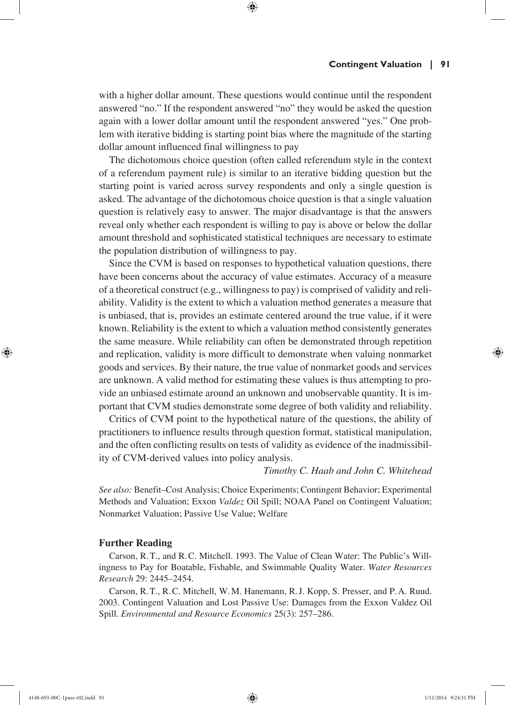## **Contingent Valuation | 91**

with a higher dollar amount. These questions would continue until the respondent answered "no." If the respondent answered "no" they would be asked the question again with a lower dollar amount until the respondent answered "yes." One problem with iterative bidding is starting point bias where the magnitude of the starting dollar amount influenced final willingness to pay

⊕

 The dichotomous choice question (often called referendum style in the context of a referendum payment rule) is similar to an iterative bidding question but the starting point is varied across survey respondents and only a single question is asked. The advantage of the dichotomous choice question is that a single valuation question is relatively easy to answer. The major disadvantage is that the answers reveal only whether each respondent is willing to pay is above or below the dollar amount threshold and sophisticated statistical techniques are necessary to estimate the population distribution of willingness to pay.

 Since the CVM is based on responses to hypothetical valuation questions, there have been concerns about the accuracy of value estimates. Accuracy of a measure of a theoretical construct (e.g., willingness to pay) is comprised of validity and reliability. Validity is the extent to which a valuation method generates a measure that is unbiased, that is, provides an estimate centered around the true value, if it were known. Reliability is the extent to which a valuation method consistently generates the same measure. While reliability can often be demonstrated through repetition and replication, validity is more difficult to demonstrate when valuing nonmarket goods and services. By their nature, the true value of nonmarket goods and services are unknown. A valid method for estimating these values is thus attempting to provide an unbiased estimate around an unknown and unobservable quantity. It is important that CVM studies demonstrate some degree of both validity and reliability.

 Critics of CVM point to the hypothetical nature of the questions, the ability of practitioners to influence results through question format, statistical manipulation, and the often conflicting results on tests of validity as evidence of the inadmissibility of CVM-derived values into policy analysis.

#### *Timothy C. Haab and John C. Whitehead*

See also: Benefit-Cost Analysis; Choice Experiments; Contingent Behavior; Experimental Methods and Valuation; Exxon *Valdez* Oil Spill; NOAA Panel on Contingent Valuation; Nonmarket Valuation; Passive Use Value; Welfare

#### **Further Reading**

Carson, R. T., and R. C. Mitchell. 1993. The Value of Clean Water: The Public's Willingness to Pay for Boatable, Fishable, and Swimmable Quality Water. *Water Resources Research* 29: 2445-2454.

 Carson, R. T., R. C. Mitchell, W. M. Hanemann, R. J. Kopp, S. Presser, and P. A. Ruud. 2003. Contingent Valuation and Lost Passive Use: Damages from the Exxon Valdez Oil Spill. *Environmental and Resource Economics* 25(3): 257-286.

♠